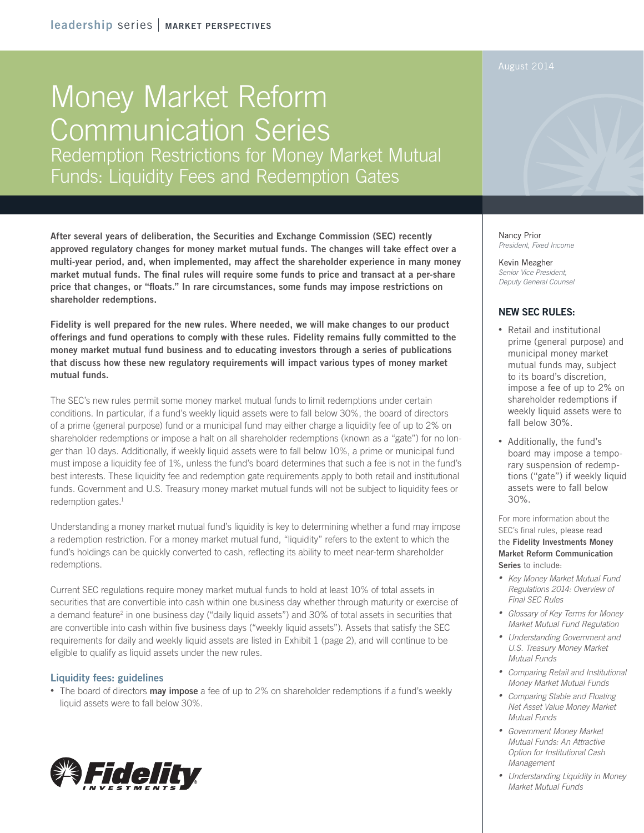leadership series | MARKET PERSPECTIVES

# Money Market Reform Communication Series Redemption Restrictions for Money Market Mutual Funds: Liquidity Fees and Redemption Gates

After several years of deliberation, the Securities and Exchange Commission (SEC) recently approved regulatory changes for money market mutual funds. The changes will take effect over a multi-year period, and, when implemented, may affect the shareholder experience in many money market mutual funds. The final rules will require some funds to price and transact at a per-share price that changes, or "floats." In rare circumstances, some funds may impose restrictions on shareholder redemptions.

Fidelity is well prepared for the new rules. Where needed, we will make changes to our product offerings and fund operations to comply with these rules. Fidelity remains fully committed to the money market mutual fund business and to educating investors through a series of publications that discuss how these new regulatory requirements will impact various types of money market mutual funds.

The SEC's new rules permit some money market mutual funds to limit redemptions under certain conditions. In particular, if a fund's weekly liquid assets were to fall below 30%, the board of directors of a prime (general purpose) fund or a municipal fund may either charge a liquidity fee of up to 2% on shareholder redemptions or impose a halt on all shareholder redemptions (known as a "gate") for no longer than 10 days. Additionally, if weekly liquid assets were to fall below 10%, a prime or municipal fund must impose a liquidity fee of 1%, unless the fund's board determines that such a fee is not in the fund's best interests. These liquidity fee and redemption gate requirements apply to both retail and institutional funds. Government and U.S. Treasury money market mutual funds will not be subject to liquidity fees or redemption gates. $<sup>1</sup>$ </sup>

Understanding a money market mutual fund's liquidity is key to determining whether a fund may impose a redemption restriction. For a money market mutual fund, "liquidity" refers to the extent to which the fund's holdings can be quickly converted to cash, reflecting its ability to meet near-term shareholder redemptions.

Current SEC regulations require money market mutual funds to hold at least 10% of total assets in securities that are convertible into cash within one business day whether through maturity or exercise of a demand feature<sup>2</sup> in one business day ("daily liquid assets") and 30% of total assets in securities that are convertible into cash within five business days ("weekly liquid assets"). Assets that satisfy the SEC requirements for daily and weekly liquid assets are listed in Exhibit 1 (page 2), and will continue to be eligible to qualify as liquid assets under the new rules.

### Liquidity fees: guidelines

• The board of directors **may impose** a fee of up to 2% on shareholder redemptions if a fund's weekly liquid assets were to fall below 30%.



Nancy Prior *President, Fixed Income*

Kevin Meagher *Senior Vice President, Deputy General Counsel*

### NEW SEC RULES:

- Retail and institutional prime (general purpose) and municipal money market mutual funds may, subject to its board's discretion, impose a fee of up to 2% on shareholder redemptions if weekly liquid assets were to fall below 30%.
- • Additionally, the fund's board may impose a temporary suspension of redemptions ("gate") if weekly liquid assets were to fall below 30%.

For more information about the SEC's final rules, please read the Fidelity Investments Money Market Reform Communication Series to include:

- • *Key Money Market Mutual Fund Regulations 2014: Overview of Final SEC Rules*
- • *Glossary of Key Terms for Money Market Mutual Fund Regulation*
- • *Understanding Government and U.S. Treasury Money Market Mutual Funds*
- • *Comparing Retail and Institutional Money Market Mutual Funds*
- • *Comparing Stable and Floating Net Asset Value Money Market Mutual Funds*
- • *Government Money Market Mutual Funds: An Attractive Option for Institutional Cash Management*
- • *Understanding Liquidity in Money Market Mutual Funds*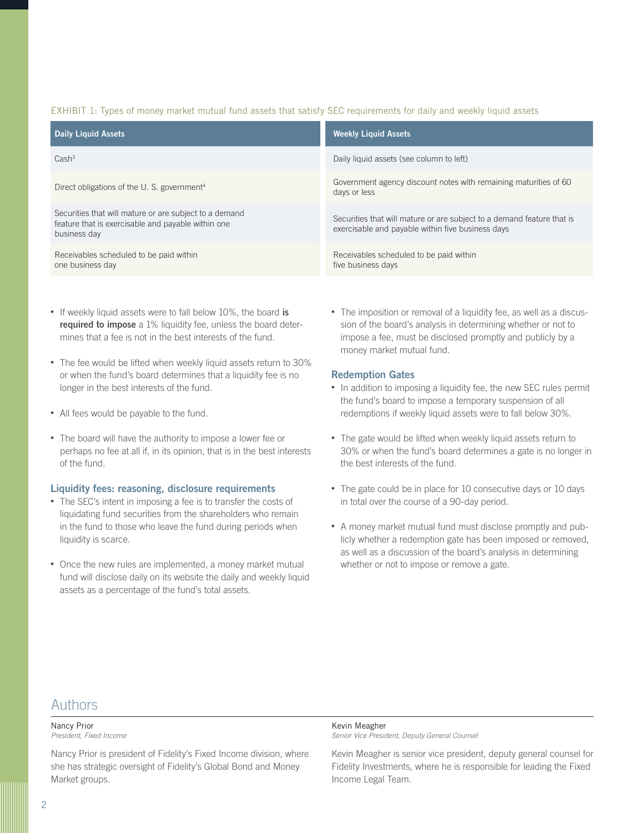### EXHIBIT 1: Types of money market mutual fund assets that satisfy SEC requirements for daily and weekly liquid assets

| <b>Daily Liquid Assets</b>                                                                                                   | <b>Weekly Liquid Assets</b>                                                                                                 |
|------------------------------------------------------------------------------------------------------------------------------|-----------------------------------------------------------------------------------------------------------------------------|
| Cash <sup>3</sup>                                                                                                            | Daily liquid assets (see column to left)                                                                                    |
| Direct obligations of the U.S. government <sup>4</sup>                                                                       | Government agency discount notes with remaining maturities of 60<br>days or less                                            |
| Securities that will mature or are subject to a demand<br>feature that is exercisable and payable within one<br>business day | Securities that will mature or are subject to a demand feature that is<br>exercisable and payable within five business days |
| Receivables scheduled to be paid within<br>one business day                                                                  | Receivables scheduled to be paid within<br>five business days                                                               |

- If weekly liquid assets were to fall below 10%, the board is required to impose a 1% liquidity fee, unless the board determines that a fee is not in the best interests of the fund.
- The fee would be lifted when weekly liquid assets return to 30% or when the fund's board determines that a liquidity fee is no longer in the best interests of the fund.
- All fees would be payable to the fund.
- The board will have the authority to impose a lower fee or perhaps no fee at all if, in its opinion, that is in the best interests of the fund.

### Liquidity fees: reasoning, disclosure requirements

- The SEC's intent in imposing a fee is to transfer the costs of liquidating fund securities from the shareholders who remain in the fund to those who leave the fund during periods when liquidity is scarce.
- Once the new rules are implemented, a money market mutual fund will disclose daily on its website the daily and weekly liquid assets as a percentage of the fund's total assets.

• The imposition or removal of a liquidity fee, as well as a discussion of the board's analysis in determining whether or not to impose a fee, must be disclosed promptly and publicly by a money market mutual fund.

### Redemption Gates

- In addition to imposing a liquidity fee, the new SEC rules permit the fund's board to impose a temporary suspension of all redemptions if weekly liquid assets were to fall below 30%.
- The gate would be lifted when weekly liquid assets return to 30% or when the fund's board determines a gate is no longer in the best interests of the fund.
- The gate could be in place for 10 consecutive days or 10 days in total over the course of a 90-day period.
- A money market mutual fund must disclose promptly and publicly whether a redemption gate has been imposed or removed, as well as a discussion of the board's analysis in determining whether or not to impose or remove a gate.

## Authors

#### Nancy Prior *President, Fixed Income*

Nancy Prior is president of Fidelity's Fixed Income division, where she has strategic oversight of Fidelity's Global Bond and Money Market groups.

### Kevin Meagher

*Senior Vice President, Deputy General Counsel*

Kevin Meagher is senior vice president, deputy general counsel for Fidelity Investments, where he is responsible for leading the Fixed Income Legal Team.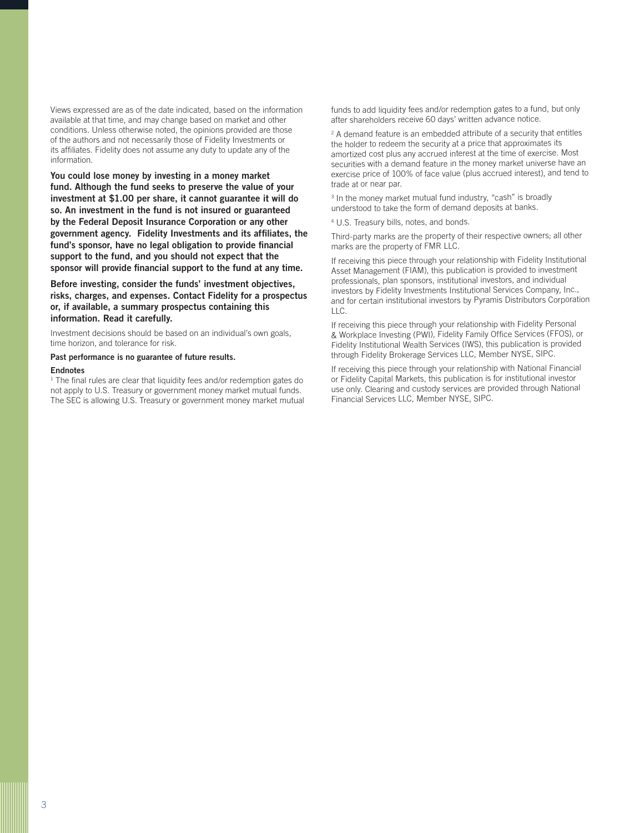Views expressed are as of the date indicated, based on the information available at that time, and may change based on market and other conditions. Unless otherwise noted, the opinions provided are those of the authors and not necessarily those of Fidelity Investments or its affiliates. Fidelity does not assume any duty to update any of the information.

You could lose money by investing in a money market fund. Although the fund seeks to preserve the value of your investment at \$1.00 per share, it cannot guarantee it will do so. An investment in the fund is not insured or guaranteed by the Federal Deposit Insurance Corporation or any other government agency. Fidelity Investments and its affiliates, the fund's sponsor, have no legal obligation to provide financial support to the fund, and you should not expect that the sponsor will provide financial support to the fund at any time.

Before investing, consider the funds' investment objectives, risks, charges, and expenses. Contact Fidelity for a prospectus or, if available, a summary prospectus containing this information. Read it carefully.

Investment decisions should be based on an individual's own goals, time horizon, and tolerance for risk.

### Past performance is no guarantee of future results.

### Endnotes

<sup>1</sup> The final rules are clear that liquidity fees and/or redemption gates do not apply to U.S. Treasury or government money market mutual funds. The SEC is allowing U.S. Treasury or government money market mutual funds to add liquidity fees and/or redemption gates to a fund, but only after shareholders receive 60 days' written advance notice.

2 A demand feature is an embedded attribute of a security that entitles the holder to redeem the security at a price that approximates its amortized cost plus any accrued interest at the time of exercise. Most securities with a demand feature in the money market universe have an exercise price of 100% of face value (plus accrued interest), and tend to trade at or near par.

<sup>3</sup> In the money market mutual fund industry, "cash" is broadly understood to take the form of demand deposits at banks.

4 U.S. Treasury bills, notes, and bonds.

Third-party marks are the property of their respective owners; all other marks are the property of FMR LLC.

If receiving this piece through your relationship with Fidelity Institutional Asset Management (FIAM), this publication is provided to investment professionals, plan sponsors, institutional investors, and individual investors by Fidelity Investments Institutional Services Company, Inc., and for certain institutional investors by Pyramis Distributors Corporation LLC.

If receiving this piece through your relationship with Fidelity Personal & Workplace Investing (PWI), Fidelity Family Office Services (FFOS), or Fidelity Institutional Wealth Services (IWS), this publication is provided through Fidelity Brokerage Services LLC, Member NYSE, SIPC.

If receiving this piece through your relationship with National Financial or Fidelity Capital Markets, this publication is for institutional investor use only. Clearing and custody services are provided through National Financial Services LLC, Member NYSE, SIPC.